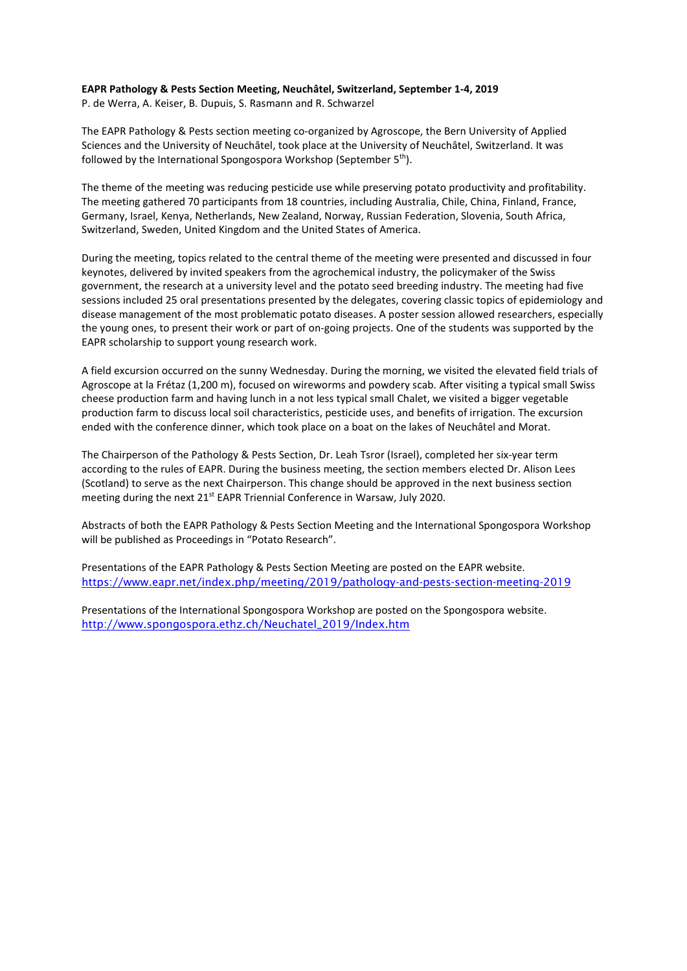## **EAPR Pathology & Pests Section Meeting, Neuchâtel, Switzerland, September 1-4, 2019**

P. de Werra, A. Keiser, B. Dupuis, S. Rasmann and R. Schwarzel

The EAPR Pathology & Pests section meeting co-organized by Agroscope, the Bern University of Applied Sciences and the University of Neuchâtel, took place at the University of Neuchâtel, Switzerland. It was followed by the International Spongospora Workshop (September 5<sup>th</sup>).

The theme of the meeting was reducing pesticide use while preserving potato productivity and profitability. The meeting gathered 70 participants from 18 countries, including Australia, Chile, China, Finland, France, Germany, Israel, Kenya, Netherlands, New Zealand, Norway, Russian Federation, Slovenia, South Africa, Switzerland, Sweden, United Kingdom and the United States of America.

During the meeting, topics related to the central theme of the meeting were presented and discussed in four keynotes, delivered by invited speakers from the agrochemical industry, the policymaker of the Swiss government, the research at a university level and the potato seed breeding industry. The meeting had five sessions included 25 oral presentations presented by the delegates, covering classic topics of epidemiology and disease management of the most problematic potato diseases. A poster session allowed researchers, especially the young ones, to present their work or part of on-going projects. One of the students was supported by the EAPR scholarship to support young research work.

A field excursion occurred on the sunny Wednesday. During the morning, we visited the elevated field trials of Agroscope at la Frétaz (1,200 m), focused on wireworms and powdery scab. After visiting a typical small Swiss cheese production farm and having lunch in a not less typical small Chalet, we visited a bigger vegetable production farm to discuss local soil characteristics, pesticide uses, and benefits of irrigation. The excursion ended with the conference dinner, which took place on a boat on the lakes of Neuchâtel and Morat.

The Chairperson of the Pathology & Pests Section, Dr. Leah Tsror (Israel), completed her six-year term according to the rules of EAPR. During the business meeting, the section members elected Dr. Alison Lees (Scotland) to serve as the next Chairperson. This change should be approved in the next business section meeting during the next 21<sup>st</sup> EAPR Triennial Conference in Warsaw, July 2020.

Abstracts of both the EAPR Pathology & Pests Section Meeting and the International Spongospora Workshop will be published as Proceedings in "Potato Research".

Presentations of the EAPR Pathology & Pests Section Meeting are posted on the EAPR website. <https://www.eapr.net/index.php/meeting/2019/pathology-and-pests-section-meeting-2019>

Presentations of the International Spongospora Workshop are posted on the Spongospora website. [http://www.spongospora.ethz.ch/Neuchatel\\_2019/Index.htm](http://www.spongospora.ethz.ch/Neuchatel_2019/Index.htm)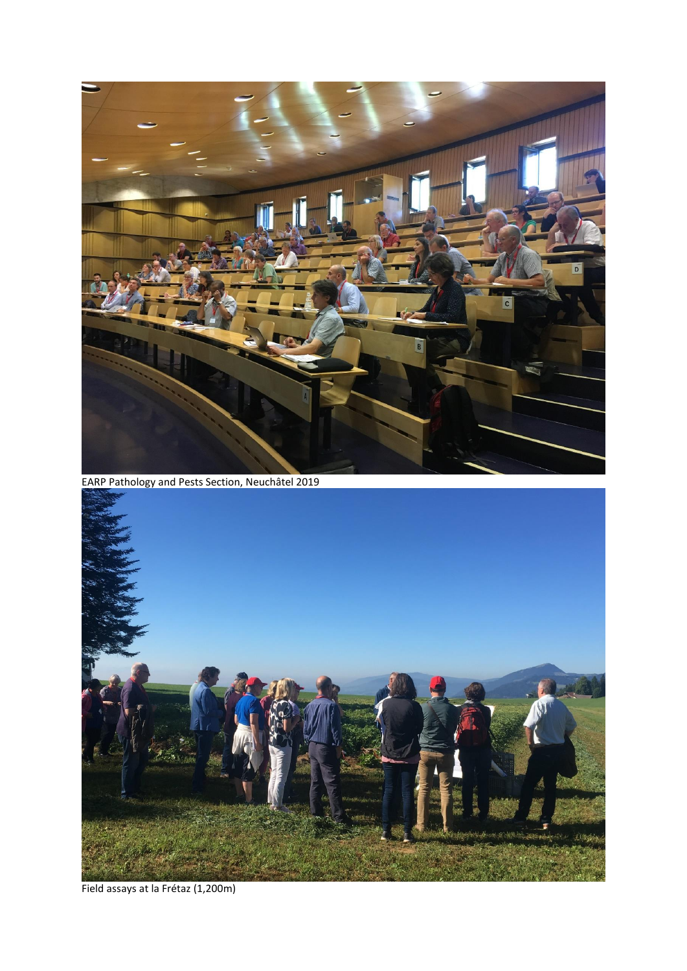

EARP Pathology and Pests Section, Neuchâtel 2019



Field assays at la Frétaz (1,200m)